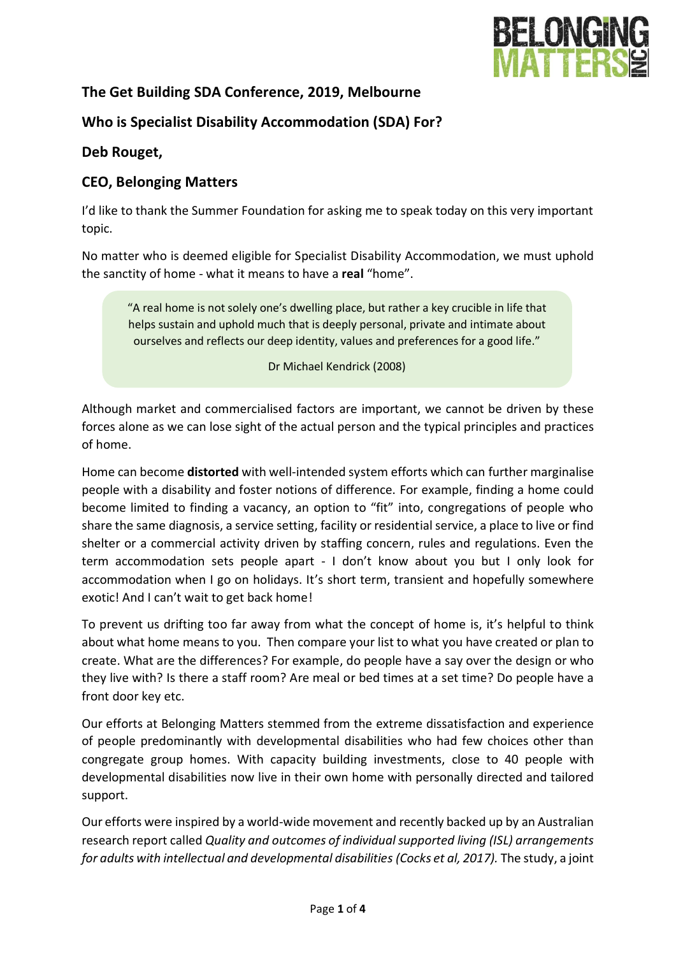

# **The Get Building SDA Conference, 2019, Melbourne**

# **Who is Specialist Disability Accommodation (SDA) For?**

## **Deb Rouget,**

## **CEO, Belonging Matters**

I'd like to thank the Summer Foundation for asking me to speak today on this very important topic.

No matter who is deemed eligible for Specialist Disability Accommodation, we must uphold the sanctity of home - what it means to have a **real** "home".

"A real home is not solely one's dwelling place, but rather a key crucible in life that helps sustain and uphold much that is deeply personal, private and intimate about ourselves and reflects our deep identity, values and preferences for a good life."

Dr Michael Kendrick (2008)

Although market and commercialised factors are important, we cannot be driven by these forces alone as we can lose sight of the actual person and the typical principles and practices of home.

Home can become **distorted** with well-intended system efforts which can further marginalise people with a disability and foster notions of difference. For example, finding a home could become limited to finding a vacancy, an option to "fit" into, congregations of people who share the same diagnosis, a service setting, facility or residential service, a place to live or find shelter or a commercial activity driven by staffing concern, rules and regulations. Even the term accommodation sets people apart - I don't know about you but I only look for accommodation when I go on holidays. It's short term, transient and hopefully somewhere exotic! And I can't wait to get back home!

To prevent us drifting too far away from what the concept of home is, it's helpful to think about what home means to you. Then compare your list to what you have created or plan to create. What are the differences? For example, do people have a say over the design or who they live with? Is there a staff room? Are meal or bed times at a set time? Do people have a front door key etc.

Our efforts at Belonging Matters stemmed from the extreme dissatisfaction and experience of people predominantly with developmental disabilities who had few choices other than congregate group homes. With capacity building investments, close to 40 people with developmental disabilities now live in their own home with personally directed and tailored support.

Our efforts were inspired by a world-wide movement and recently backed up by an Australian research report called *Quality and outcomes of individual supported living (ISL) arrangements for adults with intellectual and developmental disabilities (Cocks et al, 2017).* The study, a joint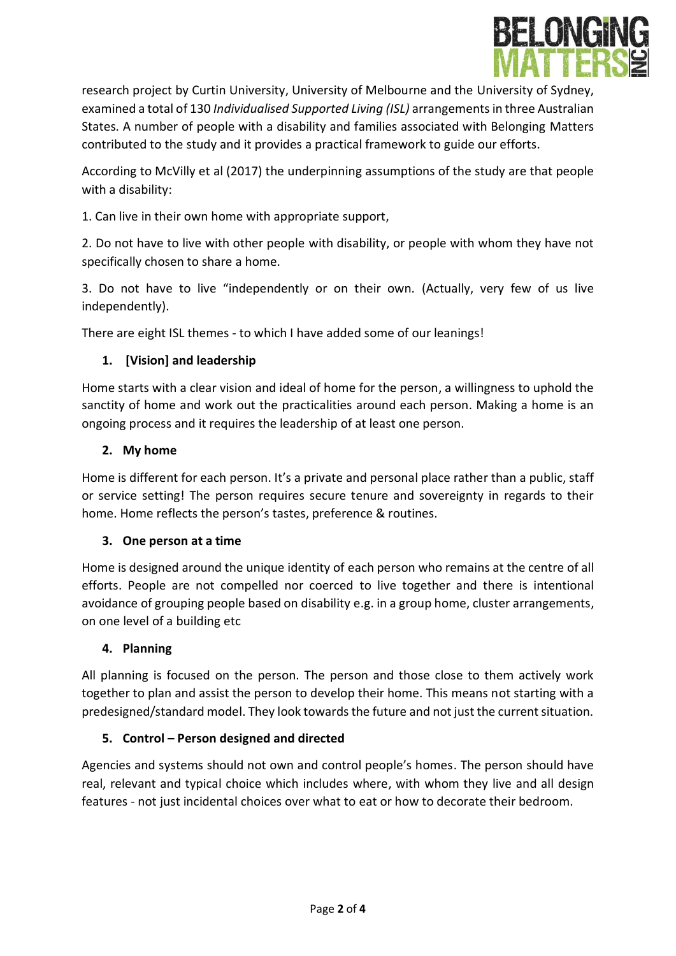

research project by Curtin University, University of Melbourne and the University of Sydney, examined a total of 130 *Individualised Supported Living (ISL)* arrangements in three Australian States. A number of people with a disability and families associated with Belonging Matters contributed to the study and it provides a practical framework to guide our efforts.

According to McVilly et al (2017) the underpinning assumptions of the study are that people with a disability:

1. Can live in their own home with appropriate support,

2. Do not have to live with other people with disability, or people with whom they have not specifically chosen to share a home.

3. Do not have to live "independently or on their own. (Actually, very few of us live independently).

There are eight ISL themes - to which I have added some of our leanings!

## **1. [Vision] and leadership**

Home starts with a clear vision and ideal of home for the person, a willingness to uphold the sanctity of home and work out the practicalities around each person. Making a home is an ongoing process and it requires the leadership of at least one person.

#### **2. My home**

Home is different for each person. It's a private and personal place rather than a public, staff or service setting! The person requires secure tenure and sovereignty in regards to their home. Home reflects the person's tastes, preference & routines.

## **3. One person at a time**

Home is designed around the unique identity of each person who remains at the centre of all efforts. People are not compelled nor coerced to live together and there is intentional avoidance of grouping people based on disability e.g. in a group home, cluster arrangements, on one level of a building etc

#### **4. Planning**

All planning is focused on the person. The person and those close to them actively work together to plan and assist the person to develop their home. This means not starting with a predesigned/standard model. They look towards the future and not just the current situation.

## **5. Control – Person designed and directed**

Agencies and systems should not own and control people's homes. The person should have real, relevant and typical choice which includes where, with whom they live and all design features - not just incidental choices over what to eat or how to decorate their bedroom.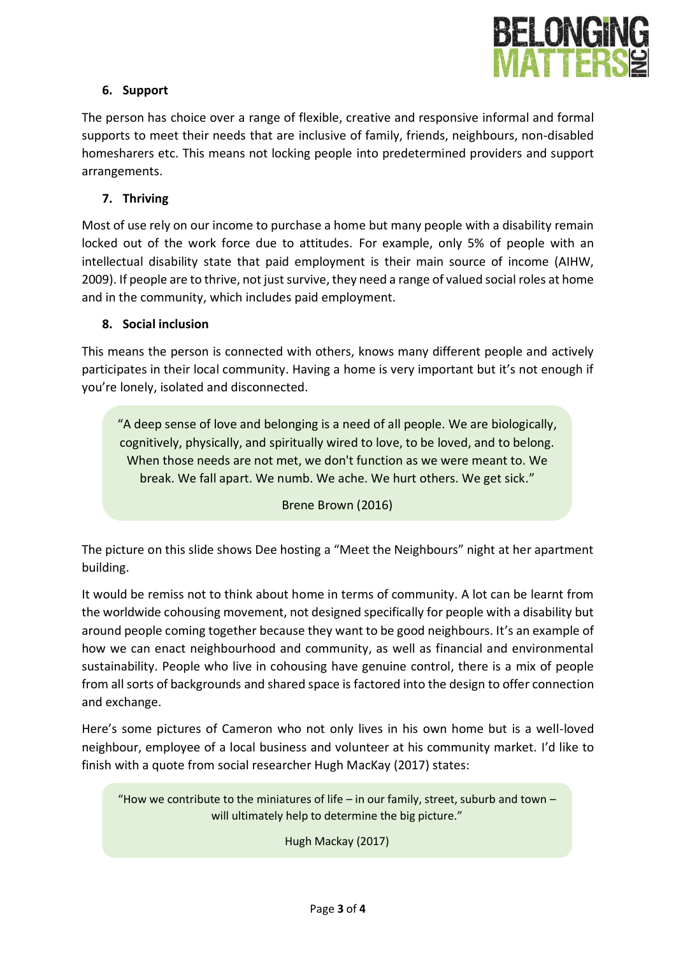

## **6. Support**

The person has choice over a range of flexible, creative and responsive informal and formal supports to meet their needs that are inclusive of family, friends, neighbours, non-disabled homesharers etc. This means not locking people into predetermined providers and support arrangements.

## **7. Thriving**

Most of use rely on our income to purchase a home but many people with a disability remain locked out of the work force due to attitudes. For example, only 5% of people with an intellectual disability state that paid employment is their main source of income (AIHW, 2009). If people are to thrive, not just survive, they need a range of valued social roles at home and in the community, which includes paid employment.

### **8. Social inclusion**

This means the person is connected with others, knows many different people and actively participates in their local community. Having a home is very important but it's not enough if you're lonely, isolated and disconnected.

"A deep sense of love and belonging is a need of all people. We are biologically, cognitively, physically, and spiritually wired to love, to be loved, and to belong. When those needs are not met, we don't function as we were meant to. We break. We fall apart. We numb. We ache. We hurt others. We get sick."

#### Brene Brown (2016)

The picture on this slide shows Dee hosting a "Meet the Neighbours" night at her apartment building.

It would be remiss not to think about home in terms of community. A lot can be learnt from the worldwide cohousing movement, not designed specifically for people with a disability but around people coming together because they want to be good neighbours. It's an example of how we can enact neighbourhood and community, as well as financial and environmental sustainability. People who live in cohousing have genuine control, there is a mix of people from all sorts of backgrounds and shared space is factored into the design to offer connection and exchange.

Here's some pictures of Cameron who not only lives in his own home but is a well-loved neighbour, employee of a local business and volunteer at his community market. I'd like to finish with a quote from social researcher Hugh MacKay (2017) states:

"How we contribute to the miniatures of life – in our family, street, suburb and town – will ultimately help to determine the big picture."

Hugh Mackay (2017)